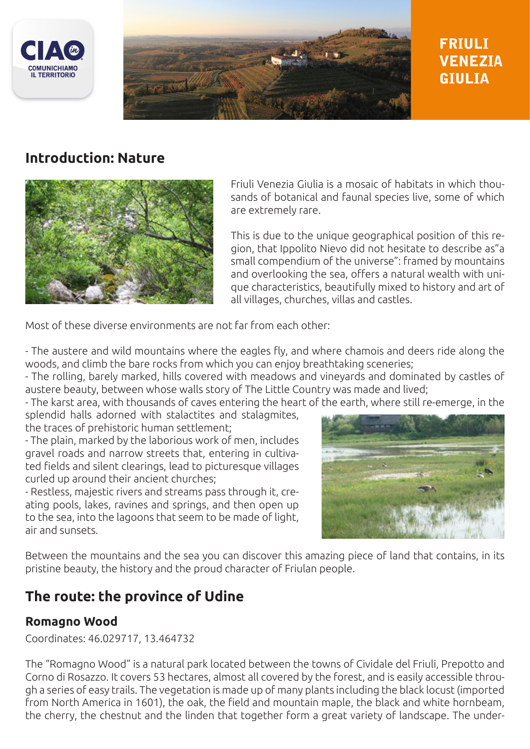



# **FRIULI VENEZIA GTULTA**

# **Introduction: Nature**



Friuli Venezia Giulia is a mosaic of habitats in which thousands of botanical and faunal species live, some of which are extremely rare.

This is due to the unique geographical position of this region, that Ippolito Nievo did not hesitate to describe as"a small compendium of the universe": framed by mountains and overlooking the sea, offers a natural wealth with unique characteristics, beautifully mixed to history and art of all villages, churches, villas and castles.

Most of these diverse environments are not far from each other:

- The austere and wild mountains where the eagles fly, and where chamois and deers ride along the woods, and climb the bare rocks from which you can enjoy breathtaking sceneries;

- The rolling, barely marked, hills covered with meadows and vineyards and dominated by castles of austere beauty, between whose walls story of The Little Country was made and lived;

- The karst area, with thousands of caves entering the heart of the earth, where still re-emerge, in the

splendid halls adorned with stalactites and stalagmites, the traces of prehistoric human settlement;

- The plain, marked by the laborious work of men, includes gravel roads and narrow streets that, entering in cultivated fields and silent clearings, lead to picturesque villages curled up around their ancient churches;

- Restless, majestic rivers and streams pass through it, creating pools, lakes, ravines and springs, and then open up to the sea, into the lagoons that seem to be made of light, air and sunsets.



Between the mountains and the sea you can discover this amazing piece of land that contains, in its pristine beauty, the history and the proud character of Friulan people.

# **The route: the province of Udine**

#### **Romagno Wood**

Coordinates: 46.029717, 13.464732

The "Romagno Wood" is a natural park located between the towns of Cividale del Friuli, Prepotto and Corno di Rosazzo. It covers 53 hectares, almost all covered by the forest, and is easily accessible through a series of easy trails. The vegetation is made up of many plants including the black locust (imported from North America in 1601), the oak, the field and mountain maple, the black and white hornbeam, the cherry, the chestnut and the linden that together form a great variety of landscape. The under-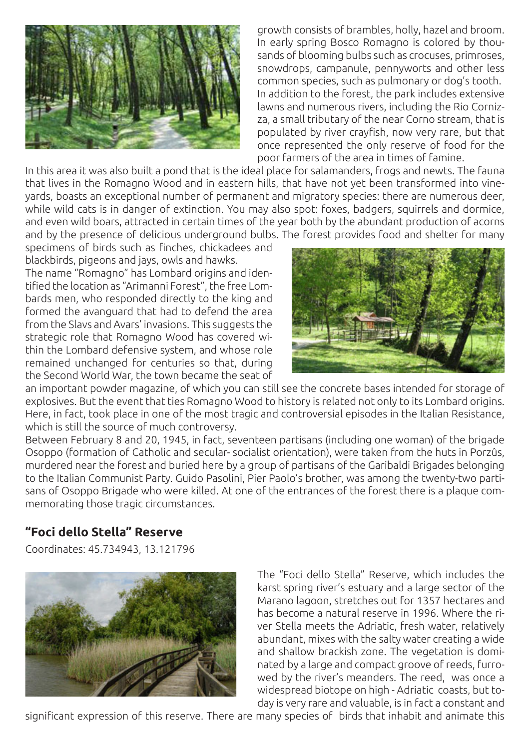

growth consists of brambles, holly, hazel and broom. In early spring Bosco Romagno is colored by thousands of blooming bulbs such as crocuses, primroses, snowdrops, campanule, pennyworts and other less common species, such as pulmonary or dog's tooth. In addition to the forest, the park includes extensive lawns and numerous rivers, including the Rio Cornizza, a small tributary of the near Corno stream, that is populated by river crayfish, now very rare, but that once represented the only reserve of food for the poor farmers of the area in times of famine.

In this area it was also built a pond that is the ideal place for salamanders, frogs and newts. The fauna that lives in the Romagno Wood and in eastern hills, that have not yet been transformed into vineyards, boasts an exceptional number of permanent and migratory species: there are numerous deer, while wild cats is in danger of extinction. You may also spot: foxes, badgers, squirrels and dormice, and even wild boars, attracted in certain times of the year both by the abundant production of acorns and by the presence of delicious underground bulbs. The forest provides food and shelter for many

specimens of birds such as finches, chickadees and blackbirds, pigeons and jays, owls and hawks.

The name "Romagno" has Lombard origins and identified the location as "Arimanni Forest", the free Lombards men, who responded directly to the king and formed the avanguard that had to defend the area from the Slavs and Avars' invasions. This suggests the strategic role that Romagno Wood has covered within the Lombard defensive system, and whose role remained unchanged for centuries so that, during the Second World War, the town became the seat of



an important powder magazine, of which you can still see the concrete bases intended for storage of explosives. But the event that ties Romagno Wood to history is related not only to its Lombard origins. Here, in fact, took place in one of the most tragic and controversial episodes in the Italian Resistance, which is still the source of much controversy.

Between February 8 and 20, 1945, in fact, seventeen partisans (including one woman) of the brigade Osoppo (formation of Catholic and secular- socialist orientation), were taken from the huts in Porzûs, murdered near the forest and buried here by a group of partisans of the Garibaldi Brigades belonging to the Italian Communist Party. Guido Pasolini, Pier Paolo's brother, was among the twenty-two partisans of Osoppo Brigade who were killed. At one of the entrances of the forest there is a plaque commemorating those tragic circumstances.

### **"Foci dello Stella" Reserve**

Coordinates: 45.734943, 13.121796



The "Foci dello Stella" Reserve, which includes the karst spring river's estuary and a large sector of the Marano lagoon, stretches out for 1357 hectares and has become a natural reserve in 1996. Where the river Stella meets the Adriatic, fresh water, relatively abundant, mixes with the salty water creating a wide and shallow brackish zone. The vegetation is dominated by a large and compact groove of reeds, furrowed by the river's meanders. The reed, was once a widespread biotope on high - Adriatic coasts, but today is very rare and valuable, is in fact a constant and

significant expression of this reserve. There are many species of birds that inhabit and animate this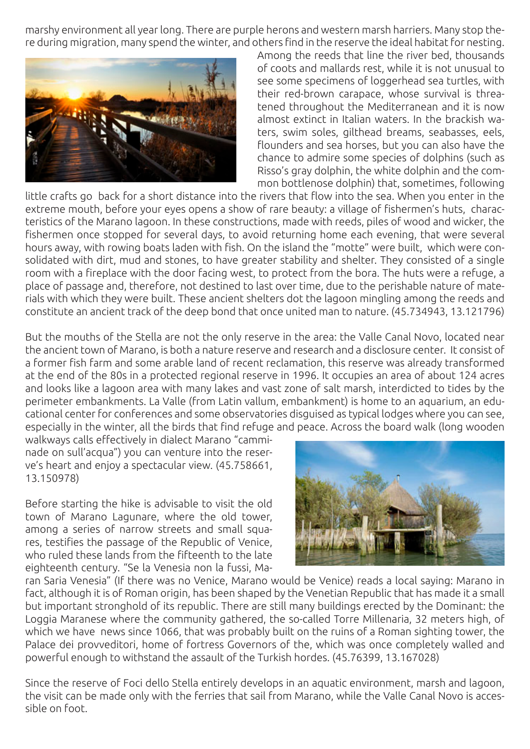marshy environment all year long. There are purple herons and western marsh harriers. Many stop there during migration, many spend the winter, and others find in the reserve the ideal habitat for nesting.



Among the reeds that line the river bed, thousands of coots and mallards rest, while it is not unusual to see some specimens of loggerhead sea turtles, with their red-brown carapace, whose survival is threatened throughout the Mediterranean and it is now almost extinct in Italian waters. In the brackish waters, swim soles, gilthead breams, seabasses, eels, flounders and sea horses, but you can also have the chance to admire some species of dolphins (such as Risso's gray dolphin, the white dolphin and the common bottlenose dolphin) that, sometimes, following

little crafts go back for a short distance into the rivers that flow into the sea. When you enter in the extreme mouth, before your eyes opens a show of rare beauty: a village of fishermen's huts, characteristics of the Marano lagoon. In these constructions, made with reeds, piles of wood and wicker, the fishermen once stopped for several days, to avoid returning home each evening, that were several hours away, with rowing boats laden with fish. On the island the "motte" were built, which were consolidated with dirt, mud and stones, to have greater stability and shelter. They consisted of a single room with a fireplace with the door facing west, to protect from the bora. The huts were a refuge, a place of passage and, therefore, not destined to last over time, due to the perishable nature of materials with which they were built. These ancient shelters dot the lagoon mingling among the reeds and constitute an ancient track of the deep bond that once united man to nature. (45.734943, 13.121796)

But the mouths of the Stella are not the only reserve in the area: the Valle Canal Novo, located near the ancient town of Marano, is both a nature reserve and research and a disclosure center. It consist of a former fish farm and some arable land of recent reclamation, this reserve was already transformed at the end of the 80s in a protected regional reserve in 1996. It occupies an area of about 124 acres and looks like a lagoon area with many lakes and vast zone of salt marsh, interdicted to tides by the perimeter embankments. La Valle (from Latin vallum, embankment) is home to an aquarium, an educational center for conferences and some observatories disguised as typical lodges where you can see, especially in the winter, all the birds that find refuge and peace. Across the board walk (long wooden

walkways calls effectively in dialect Marano "camminade on sull'acqua") you can venture into the reserve's heart and enjoy a spectacular view. (45.758661, 13.150978)

Before starting the hike is advisable to visit the old town of Marano Lagunare, where the old tower, among a series of narrow streets and small squares, testifies the passage of the Republic of Venice, who ruled these lands from the fifteenth to the late eighteenth century. "Se la Venesia non la fussi, Ma-



ran Saria Venesia" (If there was no Venice, Marano would be Venice) reads a local saying: Marano in fact, although it is of Roman origin, has been shaped by the Venetian Republic that has made it a small but important stronghold of its republic. There are still many buildings erected by the Dominant: the Loggia Maranese where the community gathered, the so-called Torre Millenaria, 32 meters high, of which we have news since 1066, that was probably built on the ruins of a Roman sighting tower, the Palace dei provveditori, home of fortress Governors of the, which was once completely walled and powerful enough to withstand the assault of the Turkish hordes. (45.76399, 13.167028)

Since the reserve of Foci dello Stella entirely develops in an aquatic environment, marsh and lagoon, the visit can be made only with the ferries that sail from Marano, while the Valle Canal Novo is accessible on foot.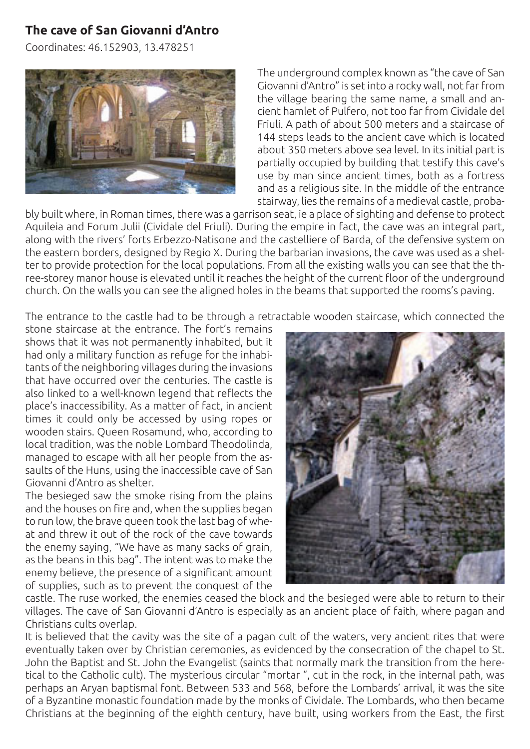# **The cave of San Giovanni d'Antro**

Coordinates: 46.152903, 13.478251



The underground complex known as "the cave of San Giovanni d'Antro" is set into a rocky wall, not far from the village bearing the same name, a small and ancient hamlet of Pulfero, not too far from Cividale del Friuli. A path of about 500 meters and a staircase of 144 steps leads to the ancient cave which is located about 350 meters above sea level. In its initial part is partially occupied by building that testify this cave's use by man since ancient times, both as a fortress and as a religious site. In the middle of the entrance stairway, lies the remains of a medieval castle, proba-

bly built where, in Roman times, there was a garrison seat, ie a place of sighting and defense to protect Aquileia and Forum Julii (Cividale del Friuli). During the empire in fact, the cave was an integral part, along with the rivers' forts Erbezzo-Natisone and the castelliere of Barda, of the defensive system on the eastern borders, designed by Regio X. During the barbarian invasions, the cave was used as a shelter to provide protection for the local populations. From all the existing walls you can see that the three-storey manor house is elevated until it reaches the height of the current floor of the underground church. On the walls you can see the aligned holes in the beams that supported the rooms's paving.

The entrance to the castle had to be through a retractable wooden staircase, which connected the

stone staircase at the entrance. The fort's remains shows that it was not permanently inhabited, but it had only a military function as refuge for the inhabitants of the neighboring villages during the invasions that have occurred over the centuries. The castle is also linked to a well-known legend that reflects the place's inaccessibility. As a matter of fact, in ancient times it could only be accessed by using ropes or wooden stairs. Queen Rosamund, who, according to local tradition, was the noble Lombard Theodolinda, managed to escape with all her people from the assaults of the Huns, using the inaccessible cave of San Giovanni d'Antro as shelter.

The besieged saw the smoke rising from the plains and the houses on fire and, when the supplies began to run low, the brave queen took the last bag of wheat and threw it out of the rock of the cave towards the enemy saying, "We have as many sacks of grain, as the beans in this bag". The intent was to make the enemy believe, the presence of a significant amount of supplies, such as to prevent the conquest of the



castle. The ruse worked, the enemies ceased the block and the besieged were able to return to their villages. The cave of San Giovanni d'Antro is especially as an ancient place of faith, where pagan and Christians cults overlap.

It is believed that the cavity was the site of a pagan cult of the waters, very ancient rites that were eventually taken over by Christian ceremonies, as evidenced by the consecration of the chapel to St. John the Baptist and St. John the Evangelist (saints that normally mark the transition from the heretical to the Catholic cult). The mysterious circular "mortar ", cut in the rock, in the internal path, was perhaps an Aryan baptismal font. Between 533 and 568, before the Lombards' arrival, it was the site of a Byzantine monastic foundation made by the monks of Cividale. The Lombards, who then became Christians at the beginning of the eighth century, have built, using workers from the East, the first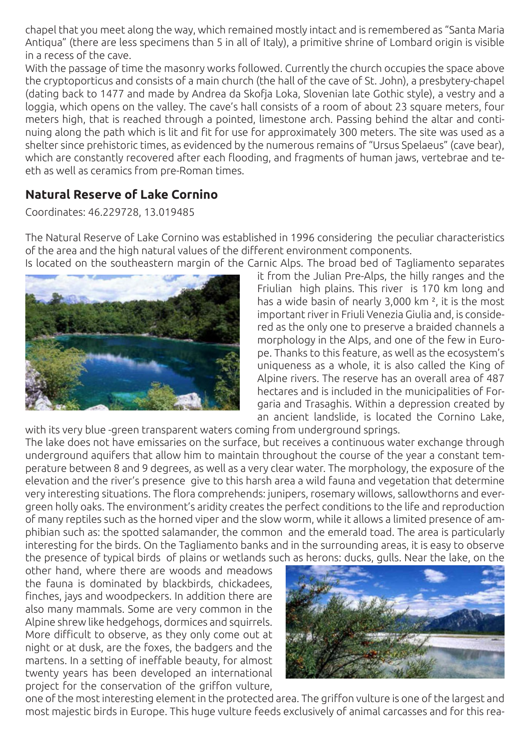chapel that you meet along the way, which remained mostly intact and is remembered as "Santa Maria Antiqua" (there are less specimens than 5 in all of Italy), a primitive shrine of Lombard origin is visible in a recess of the cave.

With the passage of time the masonry works followed. Currently the church occupies the space above the cryptoporticus and consists of a main church (the hall of the cave of St. John), a presbytery-chapel (dating back to 1477 and made by Andrea da Skofja Loka, Slovenian late Gothic style), a vestry and a loggia, which opens on the valley. The cave's hall consists of a room of about 23 square meters, four meters high, that is reached through a pointed, limestone arch. Passing behind the altar and continuing along the path which is lit and fit for use for approximately 300 meters. The site was used as a shelter since prehistoric times, as evidenced by the numerous remains of "Ursus Spelaeus" (cave bear), which are constantly recovered after each flooding, and fragments of human jaws, vertebrae and teeth as well as ceramics from pre-Roman times.

# **Natural Reserve of Lake Cornino**

Coordinates: 46.229728, 13.019485

The Natural Reserve of Lake Cornino was established in 1996 considering the peculiar characteristics of the area and the high natural values of the different environment components. Is located on the southeastern margin of the Carnic Alps. The broad bed of Tagliamento separates



it from the Julian Pre-Alps, the hilly ranges and the Friulian high plains. This river is 170 km long and has a wide basin of nearly 3,000 km ², it is the most important river in Friuli Venezia Giulia and, is considered as the only one to preserve a braided channels a morphology in the Alps, and one of the few in Europe. Thanks to this feature, as well as the ecosystem's uniqueness as a whole, it is also called the King of Alpine rivers. The reserve has an overall area of 487 hectares and is included in the municipalities of Forgaria and Trasaghis. Within a depression created by an ancient landslide, is located the Cornino Lake,

with its very blue -green transparent waters coming from underground springs. The lake does not have emissaries on the surface, but receives a continuous water exchange through underground aquifers that allow him to maintain throughout the course of the year a constant temperature between 8 and 9 degrees, as well as a very clear water. The morphology, the exposure of the elevation and the river's presence give to this harsh area a wild fauna and vegetation that determine very interesting situations. The flora comprehends: junipers, rosemary willows, sallowthorns and evergreen holly oaks. The environment's aridity creates the perfect conditions to the life and reproduction of many reptiles such as the horned viper and the slow worm, while it allows a limited presence of amphibian such as: the spotted salamander, the common and the emerald toad. The area is particularly interesting for the birds. On the Tagliamento banks and in the surrounding areas, it is easy to observe the presence of typical birds of plains or wetlands such as herons: ducks, gulls. Near the lake, on the

other hand, where there are woods and meadows the fauna is dominated by blackbirds, chickadees, finches, jays and woodpeckers. In addition there are also many mammals. Some are very common in the Alpine shrew like hedgehogs, dormices and squirrels. More difficult to observe, as they only come out at night or at dusk, are the foxes, the badgers and the martens. In a setting of ineffable beauty, for almost twenty years has been developed an international project for the conservation of the griffon vulture,



one of the most interesting element in the protected area. The griffon vulture is one of the largest and most majestic birds in Europe. This huge vulture feeds exclusively of animal carcasses and for this rea-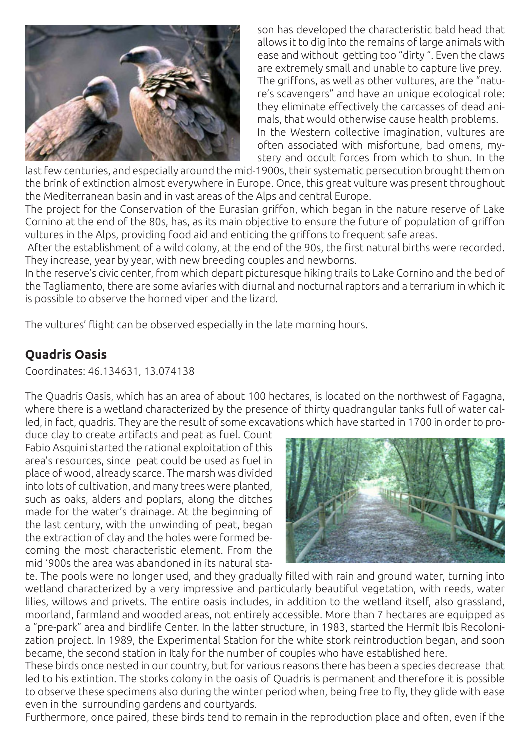

son has developed the characteristic bald head that allows it to dig into the remains of large animals with ease and without getting too "dirty ". Even the claws are extremely small and unable to capture live prey. The griffons, as well as other vultures, are the "nature's scavengers" and have an unique ecological role: they eliminate effectively the carcasses of dead animals, that would otherwise cause health problems. In the Western collective imagination, vultures are often associated with misfortune, bad omens, mystery and occult forces from which to shun. In the

last few centuries, and especially around the mid-1900s, their systematic persecution brought them on the brink of extinction almost everywhere in Europe. Once, this great vulture was present throughout the Mediterranean basin and in vast areas of the Alps and central Europe.

The project for the Conservation of the Eurasian griffon, which began in the nature reserve of Lake Cornino at the end of the 80s, has, as its main objective to ensure the future of population of griffon vultures in the Alps, providing food aid and enticing the griffons to frequent safe areas.

 After the establishment of a wild colony, at the end of the 90s, the first natural births were recorded. They increase, year by year, with new breeding couples and newborns.

In the reserve's civic center, from which depart picturesque hiking trails to Lake Cornino and the bed of the Tagliamento, there are some aviaries with diurnal and nocturnal raptors and a terrarium in which it is possible to observe the horned viper and the lizard.

The vultures' flight can be observed especially in the late morning hours.

### **Quadris Oasis**

Coordinates: 46.134631, 13.074138

The Quadris Oasis, which has an area of about 100 hectares, is located on the northwest of Fagagna, where there is a wetland characterized by the presence of thirty quadrangular tanks full of water called, in fact, quadris. They are the result of some excavations which have started in 1700 in order to pro-

duce clay to create artifacts and peat as fuel. Count Fabio Asquini started the rational exploitation of this area's resources, since peat could be used as fuel in place of wood, already scarce. The marsh was divided into lots of cultivation, and many trees were planted, such as oaks, alders and poplars, along the ditches made for the water's drainage. At the beginning of the last century, with the unwinding of peat, began the extraction of clay and the holes were formed becoming the most characteristic element. From the mid '900s the area was abandoned in its natural sta-



te. The pools were no longer used, and they gradually filled with rain and ground water, turning into wetland characterized by a very impressive and particularly beautiful vegetation, with reeds, water lilies, willows and privets. The entire oasis includes, in addition to the wetland itself, also grassland, moorland, farmland and wooded areas, not entirely accessible. More than 7 hectares are equipped as a "pre-park" area and birdlife Center. In the latter structure, in 1983, started the Hermit Ibis Recolonization project. In 1989, the Experimental Station for the white stork reintroduction began, and soon became, the second station in Italy for the number of couples who have established here.

These birds once nested in our country, but for various reasons there has been a species decrease that led to his extintion. The storks colony in the oasis of Quadris is permanent and therefore it is possible to observe these specimens also during the winter period when, being free to fly, they glide with ease even in the surrounding gardens and courtyards.

Furthermore, once paired, these birds tend to remain in the reproduction place and often, even if the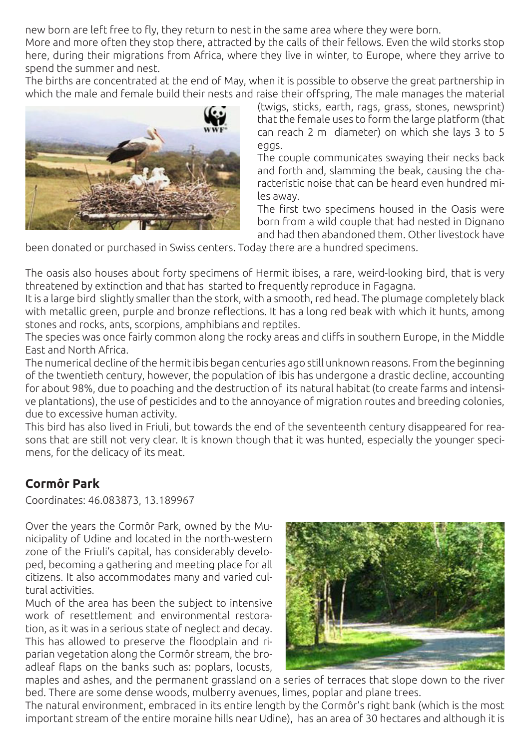new born are left free to fly, they return to nest in the same area where they were born.

More and more often they stop there, attracted by the calls of their fellows. Even the wild storks stop here, during their migrations from Africa, where they live in winter, to Europe, where they arrive to spend the summer and nest.

The births are concentrated at the end of May, when it is possible to observe the great partnership in which the male and female build their nests and raise their offspring, The male manages the material



(twigs, sticks, earth, rags, grass, stones, newsprint) that the female uses to form the large platform (that can reach 2 m diameter) on which she lays 3 to 5 eggs.

The couple communicates swaying their necks back and forth and, slamming the beak, causing the characteristic noise that can be heard even hundred miles away.

The first two specimens housed in the Oasis were born from a wild couple that had nested in Dignano and had then abandoned them. Other livestock have

been donated or purchased in Swiss centers. Today there are a hundred specimens.

The oasis also houses about forty specimens of Hermit ibises, a rare, weird-looking bird, that is very threatened by extinction and that has started to frequently reproduce in Fagagna.

It is a large bird slightly smaller than the stork, with a smooth, red head. The plumage completely black with metallic green, purple and bronze reflections. It has a long red beak with which it hunts, among stones and rocks, ants, scorpions, amphibians and reptiles.

The species was once fairly common along the rocky areas and cliffs in southern Europe, in the Middle East and North Africa.

The numerical decline of the hermit ibis began centuries ago still unknown reasons. From the beginning of the twentieth century, however, the population of ibis has undergone a drastic decline, accounting for about 98%, due to poaching and the destruction of its natural habitat (to create farms and intensive plantations), the use of pesticides and to the annoyance of migration routes and breeding colonies, due to excessive human activity.

This bird has also lived in Friuli, but towards the end of the seventeenth century disappeared for reasons that are still not very clear. It is known though that it was hunted, especially the younger specimens, for the delicacy of its meat.

### **Cormôr Park**

Coordinates: 46.083873, 13.189967

Over the years the Cormôr Park, owned by the Municipality of Udine and located in the north-western zone of the Friuli's capital, has considerably developed, becoming a gathering and meeting place for all citizens. It also accommodates many and varied cultural activities.

Much of the area has been the subject to intensive work of resettlement and environmental restoration, as it was in a serious state of neglect and decay. This has allowed to preserve the floodplain and riparian vegetation along the Cormôr stream, the broadleaf flaps on the banks such as: poplars, locusts,



maples and ashes, and the permanent grassland on a series of terraces that slope down to the river bed. There are some dense woods, mulberry avenues, limes, poplar and plane trees.

The natural environment, embraced in its entire length by the Cormôr's right bank (which is the most important stream of the entire moraine hills near Udine), has an area of 30 hectares and although it is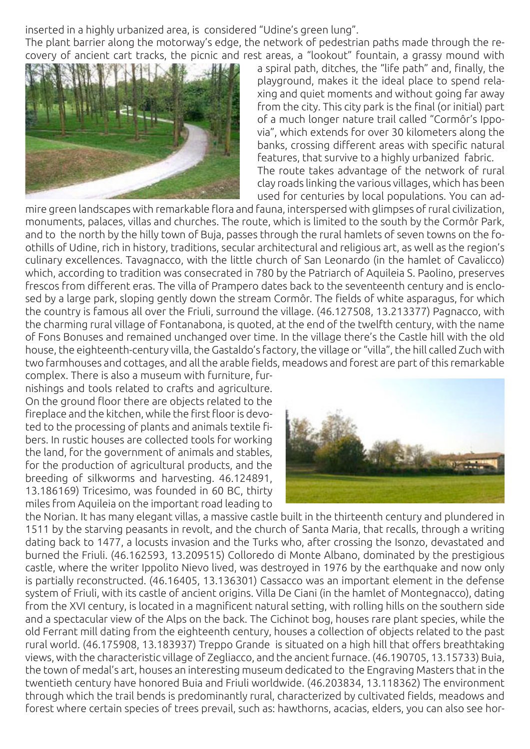inserted in a highly urbanized area, is considered "Udine's green lung".

The plant barrier along the motorway's edge, the network of pedestrian paths made through the recovery of ancient cart tracks, the picnic and rest areas, a "lookout" fountain, a grassy mound with



a spiral path, ditches, the "life path" and, finally, the playground, makes it the ideal place to spend relaxing and quiet moments and without going far away from the city. This city park is the final (or initial) part of a much longer nature trail called "Cormôr's Ippovia", which extends for over 30 kilometers along the banks, crossing different areas with specific natural features, that survive to a highly urbanized fabric. The route takes advantage of the network of rural clay roads linking the various villages, which has been used for centuries by local populations. You can ad-

mire green landscapes with remarkable flora and fauna, interspersed with glimpses of rural civilization, monuments, palaces, villas and churches. The route, which is limited to the south by the Cormôr Park, and to the north by the hilly town of Buja, passes through the rural hamlets of seven towns on the foothills of Udine, rich in history, traditions, secular architectural and religious art, as well as the region's culinary excellences. Tavagnacco, with the little church of San Leonardo (in the hamlet of Cavalicco) which, according to tradition was consecrated in 780 by the Patriarch of Aquileia S. Paolino, preserves frescos from different eras. The villa of Prampero dates back to the seventeenth century and is enclosed by a large park, sloping gently down the stream Cormôr. The fields of white asparagus, for which the country is famous all over the Friuli, surround the village. (46.127508, 13.213377) Pagnacco, with the charming rural village of Fontanabona, is quoted, at the end of the twelfth century, with the name of Fons Bonuses and remained unchanged over time. In the village there's the Castle hill with the old house, the eighteenth-century villa, the Gastaldo's factory, the village or "villa", the hill called Zuch with two farmhouses and cottages, and all the arable fields, meadows and forest are part of this remarkable

complex. There is also a museum with furniture, furnishings and tools related to crafts and agriculture. On the ground floor there are objects related to the fireplace and the kitchen, while the first floor is devoted to the processing of plants and animals textile fibers. In rustic houses are collected tools for working the land, for the government of animals and stables, for the production of agricultural products, and the breeding of silkworms and harvesting. 46.124891, 13.186169) Tricesimo, was founded in 60 BC, thirty miles from Aquileia on the important road leading to



the Norian. It has many elegant villas, a massive castle built in the thirteenth century and plundered in 1511 by the starving peasants in revolt, and the church of Santa Maria, that recalls, through a writing dating back to 1477, a locusts invasion and the Turks who, after crossing the Isonzo, devastated and burned the Friuli. (46.162593, 13.209515) Colloredo di Monte Albano, dominated by the prestigious castle, where the writer Ippolito Nievo lived, was destroyed in 1976 by the earthquake and now only is partially reconstructed. (46.16405, 13.136301) Cassacco was an important element in the defense system of Friuli, with its castle of ancient origins. Villa De Ciani (in the hamlet of Montegnacco), dating from the XVI century, is located in a magnificent natural setting, with rolling hills on the southern side and a spectacular view of the Alps on the back. The Cichinot bog, houses rare plant species, while the old Ferrant mill dating from the eighteenth century, houses a collection of objects related to the past rural world. (46.175908, 13.183937) Treppo Grande is situated on a high hill that offers breathtaking views, with the characteristic village of Zegliacco, and the ancient furnace. (46.190705, 13.15733) Buia, the town of medal's art, houses an interesting museum dedicated to the Engraving Masters that in the twentieth century have honored Buia and Friuli worldwide. (46.203834, 13.118362) The environment through which the trail bends is predominantly rural, characterized by cultivated fields, meadows and forest where certain species of trees prevail, such as: hawthorns, acacias, elders, you can also see hor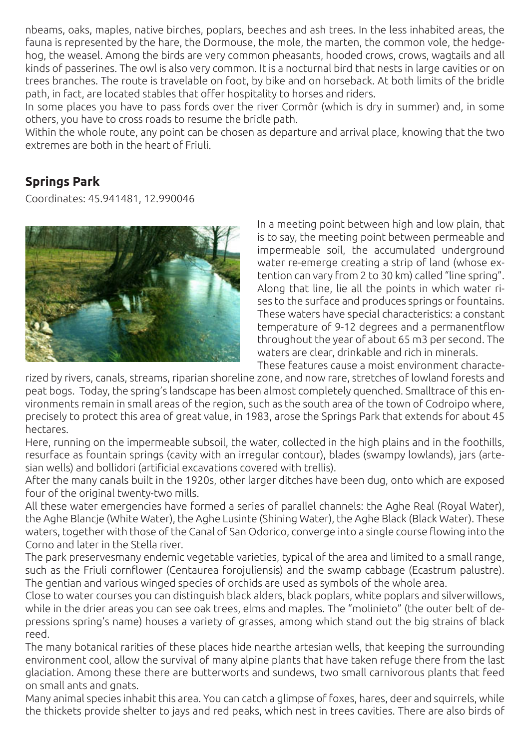nbeams, oaks, maples, native birches, poplars, beeches and ash trees. In the less inhabited areas, the fauna is represented by the hare, the Dormouse, the mole, the marten, the common vole, the hedgehog, the weasel. Among the birds are very common pheasants, hooded crows, crows, wagtails and all kinds of passerines. The owl is also very common. It is a nocturnal bird that nests in large cavities or on trees branches. The route is travelable on foot, by bike and on horseback. At both limits of the bridle path, in fact, are located stables that offer hospitality to horses and riders.

In some places you have to pass fords over the river Cormôr (which is dry in summer) and, in some others, you have to cross roads to resume the bridle path.

Within the whole route, any point can be chosen as departure and arrival place, knowing that the two extremes are both in the heart of Friuli.

### **Springs Park**

Coordinates: 45.941481, 12.990046



In a meeting point between high and low plain, that is to say, the meeting point between permeable and impermeable soil, the accumulated underground water re-emerge creating a strip of land (whose extention can vary from 2 to 30 km) called "line spring". Along that line, lie all the points in which water rises to the surface and produces springs or fountains. These waters have special characteristics: a constant temperature of 9-12 degrees and a permanentflow throughout the year of about 65 m3 per second. The waters are clear, drinkable and rich in minerals. These features cause a moist environment characte-

rized by rivers, canals, streams, riparian shoreline zone, and now rare, stretches of lowland forests and peat bogs. Today, the spring's landscape has been almost completely quenched. Smalltrace of this environments remain in small areas of the region, such as the south area of the town of Codroipo where, precisely to protect this area of great value, in 1983, arose the Springs Park that extends for about 45 hectares.

Here, running on the impermeable subsoil, the water, collected in the high plains and in the foothills, resurface as fountain springs (cavity with an irregular contour), blades (swampy lowlands), jars (artesian wells) and bollidori (artificial excavations covered with trellis).

After the many canals built in the 1920s, other larger ditches have been dug, onto which are exposed four of the original twenty-two mills.

All these water emergencies have formed a series of parallel channels: the Aghe Real (Royal Water), the Aghe Blancje (White Water), the Aghe Lusinte (Shining Water), the Aghe Black (Black Water). These waters, together with those of the Canal of San Odorico, converge into a single course flowing into the Corno and later in the Stella river.

The park preservesmany endemic vegetable varieties, typical of the area and limited to a small range, such as the Friuli cornflower (Centaurea forojuliensis) and the swamp cabbage (Ecastrum palustre). The gentian and various winged species of orchids are used as symbols of the whole area.

Close to water courses you can distinguish black alders, black poplars, white poplars and silverwillows, while in the drier areas you can see oak trees, elms and maples. The "molinieto" (the outer belt of depressions spring's name) houses a variety of grasses, among which stand out the big strains of black reed.

The many botanical rarities of these places hide nearthe artesian wells, that keeping the surrounding environment cool, allow the survival of many alpine plants that have taken refuge there from the last glaciation. Among these there are butterworts and sundews, two small carnivorous plants that feed on small ants and gnats.

Many animal species inhabit this area. You can catch a glimpse of foxes, hares, deer and squirrels, while the thickets provide shelter to jays and red peaks, which nest in trees cavities. There are also birds of